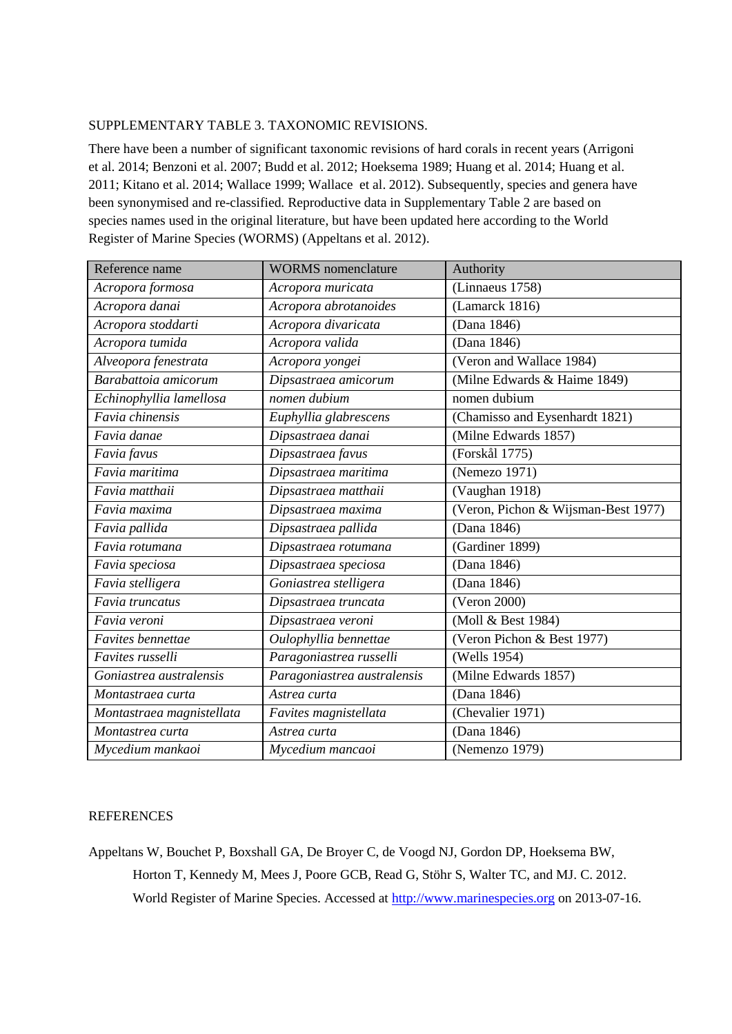## SUPPLEMENTARY TABLE 3. TAXONOMIC REVISIONS.

There have been a number of significant taxonomic revisions of hard corals in recent years (Arrigoni et al. 2014; Benzoni et al. 2007; Budd et al. 2012; Hoeksema 1989; Huang et al. 2014; Huang et al. 2011; Kitano et al. 2014; Wallace 1999; Wallace et al. 2012). Subsequently, species and genera have been synonymised and re-classified. Reproductive data in Supplementary Table 2 are based on species names used in the original literature, but have been updated here according to the World Register of Marine Species (WORMS) (Appeltans et al. 2012).

| Reference name            | <b>WORMS</b> nomenclature       | Authority                               |
|---------------------------|---------------------------------|-----------------------------------------|
| Acropora formosa          | Acropora muricata               | (Linnaeus 1758)                         |
| Acropora danai            | Acropora abrotanoides           | (Lamarck 1816)                          |
| Acropora stoddarti        | Acropora divaricata             | (Dana 1846)                             |
| Acropora tumida           | Acropora valida                 | (Dana 1846)                             |
| Alveopora fenestrata      | Acropora yongei                 | (Veron and Wallace 1984)                |
| Barabattoia amicorum      | Dipsastraea amicorum            | (Milne Edwards & Haime 1849)            |
| Echinophyllia lamellosa   | nomen dubium                    | nomen dubium                            |
| Favia chinensis           | Euphyllia glabrescens           | (Chamisso and Eysenhardt 1821)          |
| Favia danae               | $\overline{D}$ ipsastraea danai | (Milne Edwards 1857)                    |
| Favia favus               | Dipsastraea favus               | (Forskål 1775)                          |
| Favia maritima            | Dipsastraea maritima            | (Nemezo 1971)                           |
| Favia matthaii            | Dipsastraea matthaii            | (Vaughan 1918)                          |
| Favia maxima              | Dipsastraea maxima              | (Veron, Pichon & Wijsman-Best 1977)     |
| Favia pallida             | Dipsastraea pallida             | (Dana 1846)                             |
| Favia rotumana            | Dipsastraea rotumana            | (Gardiner 1899)                         |
| Favia speciosa            | Dipsastraea speciosa            | (Dana 1846)                             |
| Favia stelligera          | Goniastrea stelligera           | (Dana 1846)                             |
| Favia truncatus           | Dipsastraea truncata            | (Veron 2000)                            |
| Favia veroni              | Dipsastraea veroni              | (Moll & Best 1984)                      |
| Favites bennettae         | Oulophyllia bennettae           | (Veron Pichon & Best 1977)              |
| Favites russelli          | Paragoniastrea russelli         | (Wells 1954)                            |
| Goniastrea australensis   | Paragoniastrea australensis     | $\overline{\text{(Milne}$ Edwards 1857) |
| Montastraea curta         | Astrea curta                    | (Dana 1846)                             |
| Montastraea magnistellata | Favites magnistellata           | (Chevalier 1971)                        |
| Montastrea curta          | Astrea curta                    | (Dana 1846)                             |
| Mycedium mankaoi          | Mycedium mancaoi                | (Nemenzo 1979)                          |

## **REFERENCES**

Appeltans W, Bouchet P, Boxshall GA, De Broyer C, de Voogd NJ, Gordon DP, Hoeksema BW, Horton T, Kennedy M, Mees J, Poore GCB, Read G, Stöhr S, Walter TC, and MJ. C. 2012. World Register of Marine Species. Accessed at [http://www.marinespecies.org](http://www.marinespecies.org/) on 2013-07-16.